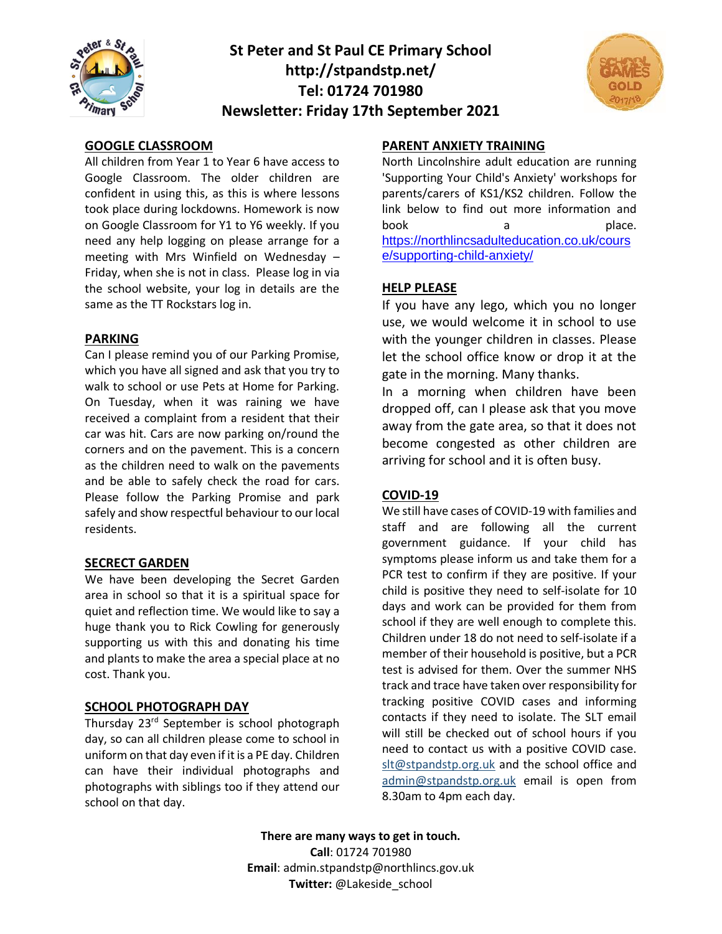

# **St Peter and St Paul CE Primary School http://stpandstp.net/ Tel: 01724 701980 Newsletter: Friday 17th September 2021**



### **GOOGLE CLASSROOM**

All children from Year 1 to Year 6 have access to Google Classroom. The older children are confident in using this, as this is where lessons took place during lockdowns. Homework is now on Google Classroom for Y1 to Y6 weekly. If you need any help logging on please arrange for a meeting with Mrs Winfield on Wednesday – Friday, when she is not in class. Please log in via the school website, your log in details are the same as the TT Rockstars log in.

#### **PARKING**

Can I please remind you of our Parking Promise, which you have all signed and ask that you try to walk to school or use Pets at Home for Parking. On Tuesday, when it was raining we have received a complaint from a resident that their car was hit. Cars are now parking on/round the corners and on the pavement. This is a concern as the children need to walk on the pavements and be able to safely check the road for cars. Please follow the Parking Promise and park safely and show respectful behaviour to our local residents.

#### **SECRECT GARDEN**

We have been developing the Secret Garden area in school so that it is a spiritual space for quiet and reflection time. We would like to say a huge thank you to Rick Cowling for generously supporting us with this and donating his time and plants to make the area a special place at no cost. Thank you.

#### **SCHOOL PHOTOGRAPH DAY**

Thursday 23rd September is school photograph day, so can all children please come to school in uniform on that day even if it is a PE day. Children can have their individual photographs and photographs with siblings too if they attend our school on that day.

### **PARENT ANXIETY TRAINING**

North Lincolnshire adult education are running 'Supporting Your Child's Anxiety' workshops for parents/carers of KS1/KS2 children. Follow the link below to find out more information and book a place. [https://northlincsadulteducation.co.uk/cours](https://northlincsadulteducation.co.uk/course/supporting-child-anxiety/) [e/supporting-child-anxiety/](https://northlincsadulteducation.co.uk/course/supporting-child-anxiety/)

#### **HELP PLEASE**

If you have any lego, which you no longer use, we would welcome it in school to use with the younger children in classes. Please let the school office know or drop it at the gate in the morning. Many thanks.

In a morning when children have been dropped off, can I please ask that you move away from the gate area, so that it does not become congested as other children are arriving for school and it is often busy.

#### **COVID-19**

We still have cases of COVID-19 with families and staff and are following all the current government guidance. If your child has symptoms please inform us and take them for a PCR test to confirm if they are positive. If your child is positive they need to self-isolate for 10 days and work can be provided for them from school if they are well enough to complete this. Children under 18 do not need to self-isolate if a member of their household is positive, but a PCR test is advised for them. Over the summer NHS track and trace have taken over responsibility for tracking positive COVID cases and informing contacts if they need to isolate. The SLT email will still be checked out of school hours if you need to contact us with a positive COVID case. [slt@stpandstp.org.uk](mailto:slt@stpandstp.org.uk) and the school office and [admin@stpandstp.org.uk](mailto:admin@stpandstp.org.uk) email is open from 8.30am to 4pm each day.

**There are many ways to get in touch. Call**: 01724 701980 **Email**: admin.stpandstp@northlincs.gov.uk **Twitter:** @Lakeside\_school